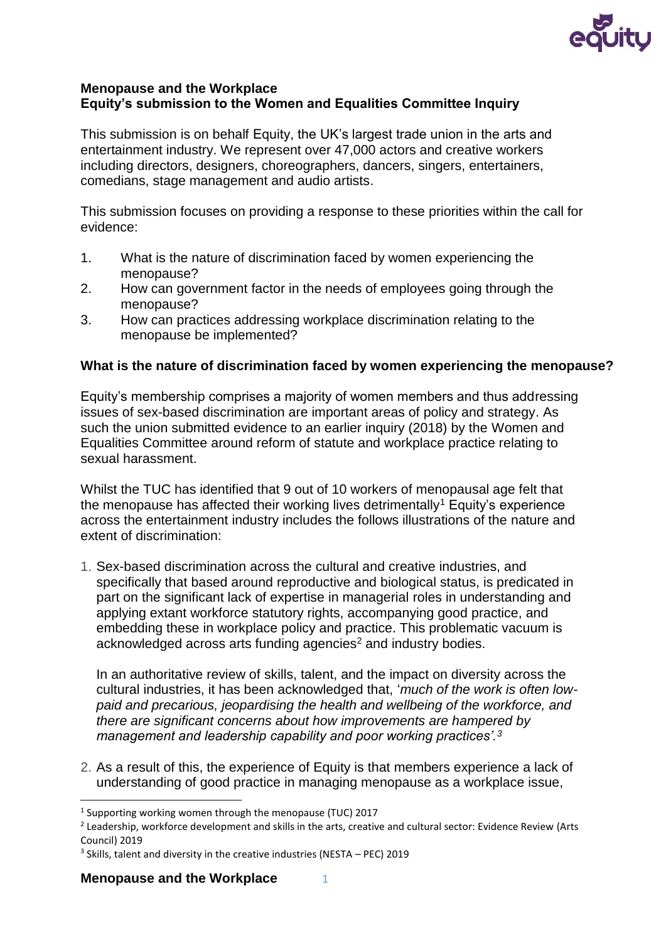

## **Menopause and the Workplace Equity's submission to the Women and Equalities Committee Inquiry**

This submission is on behalf Equity, the UK's largest trade union in the arts and entertainment industry. We represent over 47,000 actors and creative workers including directors, designers, choreographers, dancers, singers, entertainers, comedians, stage management and audio artists.

This submission focuses on providing a response to these priorities within the call for evidence:

- 1. What is the nature of discrimination faced by women experiencing the menopause?
- 2. How can government factor in the needs of employees going through the menopause?
- 3. How can practices addressing workplace discrimination relating to the menopause be implemented?

## **What is the nature of discrimination faced by women experiencing the menopause?**

Equity's membership comprises a majority of women members and thus addressing issues of sex-based discrimination are important areas of policy and strategy. As such the union submitted evidence to an earlier inquiry (2018) by the Women and Equalities Committee around reform of statute and workplace practice relating to sexual harassment.

Whilst the TUC has identified that 9 out of 10 workers of menopausal age felt that the menopause has affected their working lives detrimentally<sup>1</sup> Equity's experience across the entertainment industry includes the follows illustrations of the nature and extent of discrimination:

1. Sex-based discrimination across the cultural and creative industries, and specifically that based around reproductive and biological status, is predicated in part on the significant lack of expertise in managerial roles in understanding and applying extant workforce statutory rights, accompanying good practice, and embedding these in workplace policy and practice. This problematic vacuum is acknowledged across arts funding agencies<sup>2</sup> and industry bodies.

In an authoritative review of skills, talent, and the impact on diversity across the cultural industries, it has been acknowledged that, '*much of the work is often lowpaid and precarious, jeopardising the health and wellbeing of the workforce, and there are significant concerns about how improvements are hampered by management and leadership capability and poor working practices'.<sup>3</sup>*

2. As a result of this, the experience of Equity is that members experience a lack of understanding of good practice in managing menopause as a workplace issue,

**Menopause and the Workplace** 1

1

<sup>&</sup>lt;sup>1</sup> Supporting working women through the menopause (TUC) 2017

<sup>&</sup>lt;sup>2</sup> Leadership, workforce development and skills in the arts, creative and cultural sector: Evidence Review (Arts Council) 2019

<sup>&</sup>lt;sup>3</sup> Skills, talent and diversity in the creative industries (NESTA - PEC) 2019